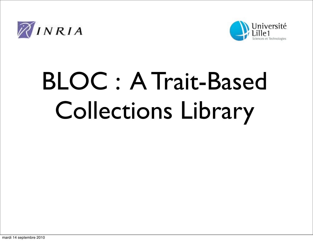



# BLOC : A Trait-Based Collections Library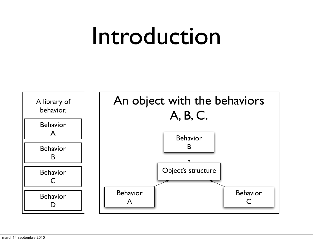## Introduction

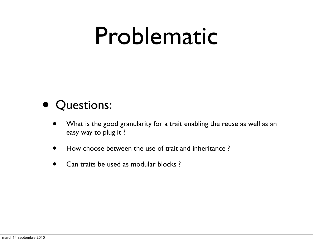## Problematic

#### • Questions:

- What is the good granularity for a trait enabling the reuse as well as an easy way to plug it ?
- How choose between the use of trait and inheritance ?
- Can traits be used as modular blocks?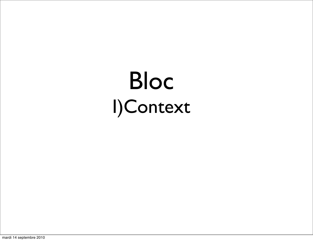## Bloc I)Context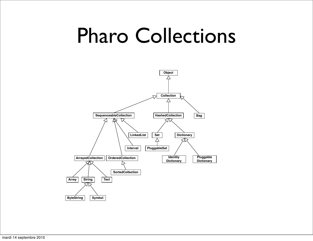### Pharo Collections

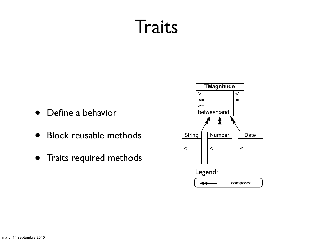### Traits

- Define a behavior
- Block reusable methods
- Traits required methods

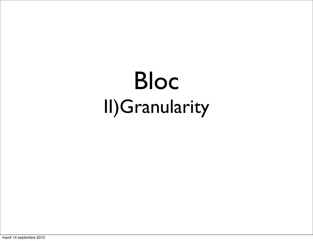### Bloc II)Granularity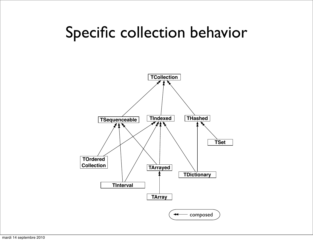#### Specific collection behavior

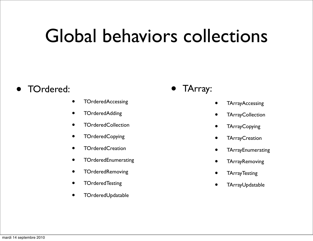### Global behaviors collections

#### • TOrdered:

- TOrderedAccessing
- TOrderedAdding
- TOrderedCollection
- TOrderedCopying
- TOrderedCreation
- TOrderedEnumerating
- TOrderedRemoving
- TOrderedTesting
- TOrderedUpdatable
- TArray:
- TArrayAccessing
- **TArrayCollection**
- TArrayCopying
- **TArrayCreation**
- TArrayEnumerating
- **TArrayRemoving**
- TArrayTesting
- TArrayUpdatable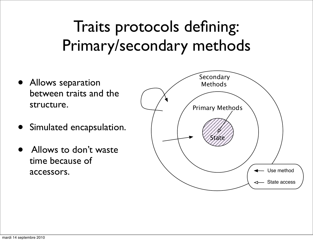#### Traits protocols defining: Primary/secondary methods

- Allows separation between traits and the structure.
- Simulated encapsulation.
- Allows to don't waste time because of accessors.

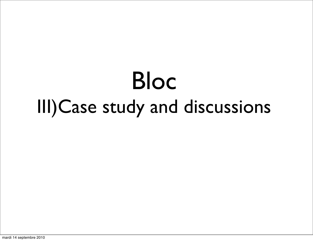## Bloc III)Case study and discussions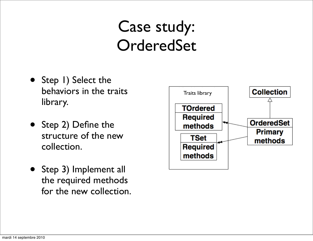#### Case study: **OrderedSet**

- Step I) Select the behaviors in the traits library.
- Step 2) Define the structure of the new collection.
- Step 3) Implement all the required methods for the new collection.

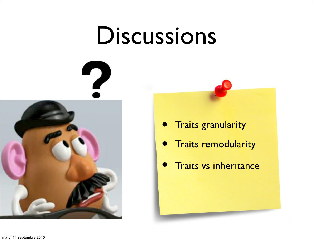### Discussions



- Traits granularity
- Traits remodularity
- **Traits vs inheritance**